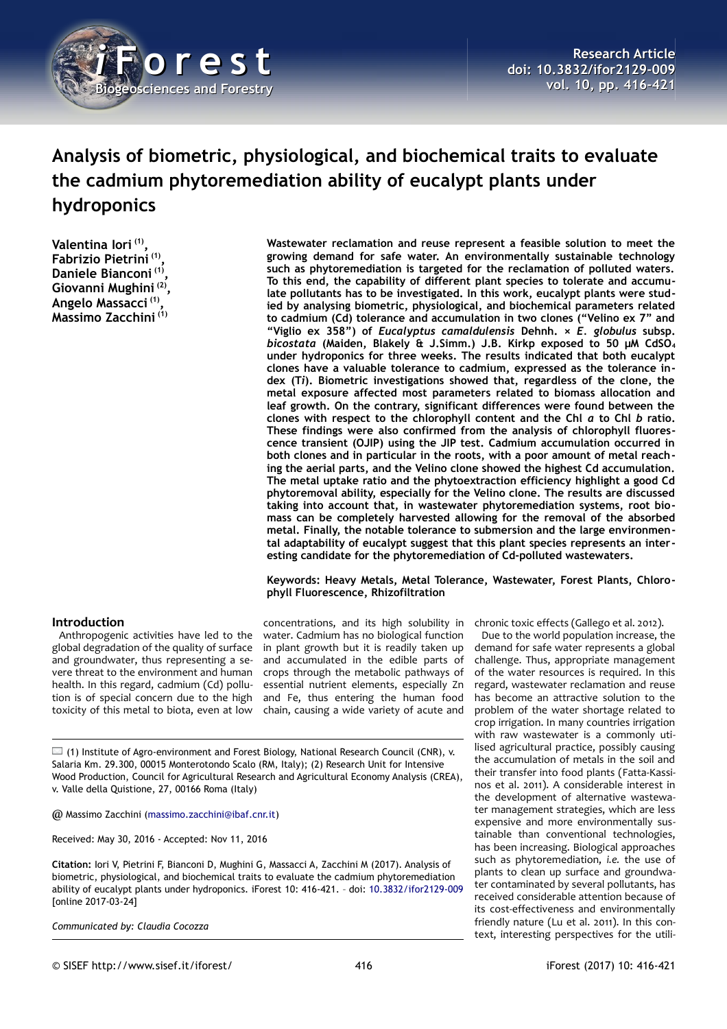

# **Analysis of biometric, physiological, and biochemical traits to evaluate the cadmium phytoremediation ability of eucalypt plants under hydroponics**

**Valentina Iori (1) , Fabrizio Pietrini (1) , Daniele Bianconi (1) , Giovanni Mughini (2) , Angelo Massacci (1) , Massimo Zacchini (1)**

**Wastewater reclamation and reuse represent a feasible solution to meet the growing demand for safe water. An environmentally sustainable technology such as phytoremediation is targeted for the reclamation of polluted waters. To this end, the capability of different plant species to tolerate and accumulate pollutants has to be investigated. In this work, eucalypt plants were studied by analysing biometric, physiological, and biochemical parameters related to cadmium (Cd) tolerance and accumulation in two clones ("Velino ex 7" and "Viglio ex 358") of** *Eucalyptus camaldulensis* **Dehnh. ×** *E. globulus* **subsp.** *bicostata* **(Maiden, Blakely & J.Simm.) J.B. Kirkp exposed to 50 μM CdSO<sup>4</sup> under hydroponics for three weeks. The results indicated that both eucalypt clones have a valuable tolerance to cadmium, expressed as the tolerance index (T***i***). Biometric investigations showed that, regardless of the clone, the metal exposure affected most parameters related to biomass allocation and leaf growth. On the contrary, significant differences were found between the clones with respect to the chlorophyll content and the Chl** *a* **to Chl** *b* **ratio. These findings were also confirmed from the analysis of chlorophyll fluorescence transient (OJIP) using the JIP test. Cadmium accumulation occurred in both clones and in particular in the roots, with a poor amount of metal reaching the aerial parts, and the Velino clone showed the highest Cd accumulation. The metal uptake ratio and the phytoextraction efficiency highlight a good Cd phytoremoval ability, especially for the Velino clone. The results are discussed taking into account that, in wastewater phytoremediation systems, root biomass can be completely harvested allowing for the removal of the absorbed metal. Finally, the notable tolerance to submersion and the large environmental adaptability of eucalypt suggest that this plant species represents an inter esting candidate for the phytoremediation of Cd-polluted wastewaters.**

#### **Keywords: Heavy Metals, Metal Tolerance, Wastewater, Forest Plants, Chlorophyll Fluorescence, Rhizofiltration**

# **Introduction**

Anthropogenic activities have led to the global degradation of the quality of surface and groundwater, thus representing a severe threat to the environment and human health. In this regard, cadmium (Cd) pollution is of special concern due to the high toxicity of this metal to biota, even at low

concentrations, and its high solubility in chronic toxic effects (Gallego et al. 2012). water. Cadmium has no biological function in plant growth but it is readily taken up and accumulated in the edible parts of crops through the metabolic pathways of essential nutrient elements, especially Zn and Fe, thus entering the human food chain, causing a wide variety of acute and

(1) Institute of Agro-environment and Forest Biology, National Research Council (CNR), v. Salaria Km. 29.300, 00015 Monterotondo Scalo (RM, Italy); (2) Research Unit for Intensive Wood Production, Council for Agricultural Research and Agricultural Economy Analysis (CREA), v. Valle della Quistione, 27, 00166 Roma (Italy)

@ Massimo Zacchini [\(massimo.zacchini@ibaf.cnr.it\)](mailto:massimo.zacchini@ibaf.cnr.it)

Received: May 30, 2016 - Accepted: Nov 11, 2016

**Citation:** Iori V, Pietrini F, Bianconi D, Mughini G, Massacci A, Zacchini M (2017). Analysis of biometric, physiological, and biochemical traits to evaluate the cadmium phytoremediation ability of eucalypt plants under hydroponics. iForest 10: 416-421. – doi: [10.3832/ifor2129-009](http://www.sisef.it/iforest/contents/?id=ifor2129-009) [online 2017-03-24]

*Communicated by: Claudia Cocozza*

Due to the world population increase, the demand for safe water represents a global challenge. Thus, appropriate management of the water resources is required. In this regard, wastewater reclamation and reuse has become an attractive solution to the problem of the water shortage related to crop irrigation. In many countries irrigation with raw wastewater is a commonly utilised agricultural practice, possibly causing the accumulation of metals in the soil and their transfer into food plants (Fatta-Kassinos et al. 2011). A considerable interest in the development of alternative wastewater management strategies, which are less expensive and more environmentally sustainable than conventional technologies, has been increasing. Biological approaches such as phytoremediation, *i.e.* the use of plants to clean up surface and groundwater contaminated by several pollutants, has received considerable attention because of its cost-effectiveness and environmentally friendly nature (Lu et al. 2011). In this context, interesting perspectives for the utili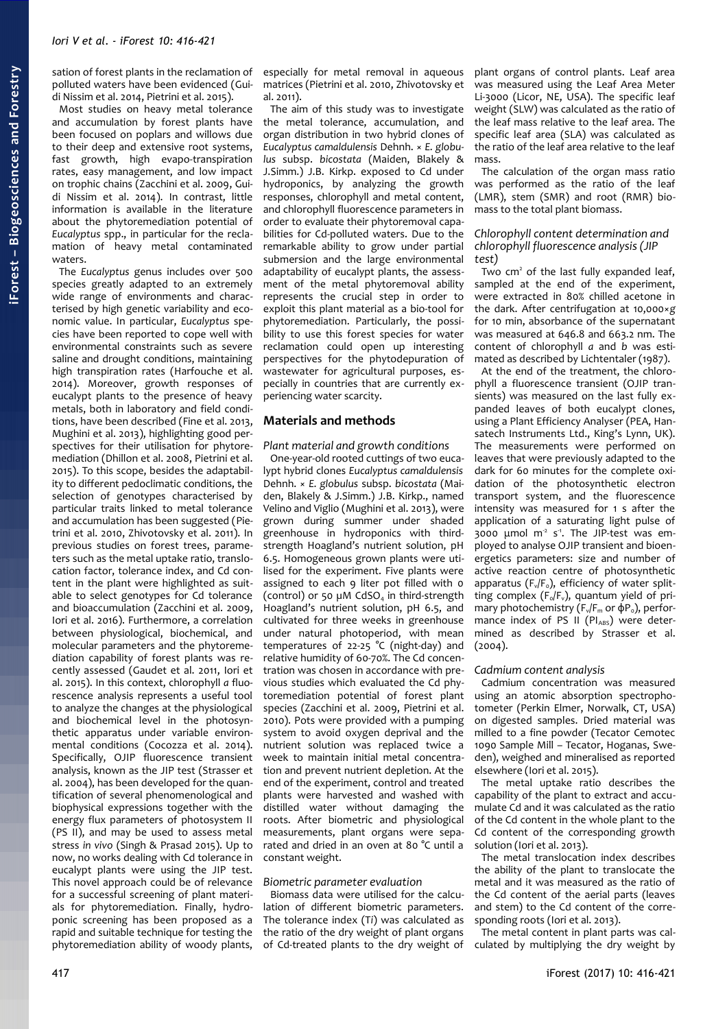sation of forest plants in the reclamation of polluted waters have been evidenced (Guidi Nissim et al. 2014, Pietrini et al. 2015).

Most studies on heavy metal tolerance and accumulation by forest plants have been focused on poplars and willows due to their deep and extensive root systems, fast growth, high evapo-transpiration rates, easy management, and low impact on trophic chains (Zacchini et al. 2009, Guidi Nissim et al. 2014). In contrast, little information is available in the literature about the phytoremediation potential of *Eucalyptus* spp., in particular for the reclamation of heavy metal contaminated waters.

The *Eucalyptus* genus includes over 500 species greatly adapted to an extremely wide range of environments and characterised by high genetic variability and economic value. In particular, *Eucalyptus* species have been reported to cope well with environmental constraints such as severe saline and drought conditions, maintaining high transpiration rates (Harfouche et al. 2014). Moreover, growth responses of eucalypt plants to the presence of heavy metals, both in laboratory and field conditions, have been described (Fine et al. 2013, Mughini et al. 2013), highlighting good perspectives for their utilisation for phytoremediation (Dhillon et al. 2008, Pietrini et al. 2015). To this scope, besides the adaptability to different pedoclimatic conditions, the selection of genotypes characterised by particular traits linked to metal tolerance and accumulation has been suggested (Pietrini et al. 2010, Zhivotovsky et al. 2011). In previous studies on forest trees, parameters such as the metal uptake ratio, translocation factor, tolerance index, and Cd content in the plant were highlighted as suitable to select genotypes for Cd tolerance and bioaccumulation (Zacchini et al. 2009, Iori et al. 2016). Furthermore, a correlation between physiological, biochemical, and molecular parameters and the phytoremediation capability of forest plants was recently assessed (Gaudet et al. 2011, Iori et al. 2015). In this context, chlorophyll *a* fluorescence analysis represents a useful tool to analyze the changes at the physiological and biochemical level in the photosynthetic apparatus under variable environmental conditions (Cocozza et al. 2014). Specifically, OJIP fluorescence transient analysis, known as the JIP test (Strasser et al. 2004), has been developed for the quantification of several phenomenological and biophysical expressions together with the energy flux parameters of photosystem II (PS II), and may be used to assess metal stress *in vivo* (Singh & Prasad 2015). Up to now, no works dealing with Cd tolerance in eucalypt plants were using the JIP test. This novel approach could be of relevance for a successful screening of plant materials for phytoremediation. Finally, hydroponic screening has been proposed as a rapid and suitable technique for testing the phytoremediation ability of woody plants,

especially for metal removal in aqueous matrices (Pietrini et al. 2010, Zhivotovsky et al. 2011).

The aim of this study was to investigate the metal tolerance, accumulation, and organ distribution in two hybrid clones of *Eucalyptus camaldulensis* Dehnh. × *E. globulus* subsp. *bicostata* (Maiden, Blakely & J.Simm.) J.B. Kirkp. exposed to Cd under hydroponics, by analyzing the growth responses, chlorophyll and metal content, and chlorophyll fluorescence parameters in order to evaluate their phytoremoval capabilities for Cd-polluted waters. Due to the remarkable ability to grow under partial submersion and the large environmental adaptability of eucalypt plants, the assessment of the metal phytoremoval ability represents the crucial step in order to exploit this plant material as a bio-tool for phytoremediation. Particularly, the possibility to use this forest species for water reclamation could open up interesting perspectives for the phytodepuration of wastewater for agricultural purposes, especially in countries that are currently experiencing water scarcity.

# **Materials and methods**

*Plant material and growth conditions* One-year-old rooted cuttings of two eucalypt hybrid clones *Eucalyptus camaldulensis* Dehnh. × *E. globulus* subsp. *bicostata* (Maiden, Blakely & J.Simm.) J.B. Kirkp., named Velino and Viglio (Mughini et al. 2013), were grown during summer under shaded greenhouse in hydroponics with thirdstrength Hoagland's nutrient solution, pH 6.5. Homogeneous grown plants were utilised for the experiment. Five plants were assigned to each 9 liter pot filled with 0 (control) or 50  $\mu$ M CdSO<sub>4</sub> in third-strength Hoagland's nutrient solution, pH 6.5, and cultivated for three weeks in greenhouse under natural photoperiod, with mean temperatures of 22-25 °C (night-day) and relative humidity of 60-70%. The Cd concentration was chosen in accordance with previous studies which evaluated the Cd phytoremediation potential of forest plant species (Zacchini et al. 2009, Pietrini et al. 2010). Pots were provided with a pumping system to avoid oxygen deprival and the nutrient solution was replaced twice a week to maintain initial metal concentration and prevent nutrient depletion. At the end of the experiment, control and treated plants were harvested and washed with distilled water without damaging the roots. After biometric and physiological measurements, plant organs were separated and dried in an oven at 80 °C until a constant weight.

### *Biometric parameter evaluation*

Biomass data were utilised for the calculation of different biometric parameters. The tolerance index (T*i*) was calculated as the ratio of the dry weight of plant organs of Cd-treated plants to the dry weight of

plant organs of control plants. Leaf area was measured using the Leaf Area Meter Li-3000 (Licor, NE, USA). The specific leaf weight (SLW) was calculated as the ratio of the leaf mass relative to the leaf area. The specific leaf area (SLA) was calculated as the ratio of the leaf area relative to the leaf mass.

The calculation of the organ mass ratio was performed as the ratio of the leaf (LMR), stem (SMR) and root (RMR) biomass to the total plant biomass.

#### *Chlorophyll content determination and chlorophyll fluorescence analysis (JIP test)*

Two cm<sup>2</sup> of the last fully expanded leaf, sampled at the end of the experiment, were extracted in 80% chilled acetone in the dark. After centrifugation at 10,000×*g* for 10 min, absorbance of the supernatant was measured at 646.8 and 663.2 nm. The content of chlorophyll *a* and *b* was estimated as described by Lichtentaler (1987).

At the end of the treatment, the chlorophyll a fluorescence transient (OJIP transients) was measured on the last fully expanded leaves of both eucalypt clones, using a Plant Efficiency Analyser (PEA, Hansatech Instruments Ltd., King's Lynn, UK). The measurements were performed on leaves that were previously adapted to the dark for 60 minutes for the complete oxidation of the photosynthetic electron transport system, and the fluorescence intensity was measured for 1 s after the application of a saturating light pulse of  $\frac{1}{3000}$  umol m<sup>2</sup> s<sup>1</sup>. The JIP-test was employed to analyse OJIP transient and bioenergetics parameters: size and number of active reaction centre of photosynthetic apparatus ( $F_v/F_o$ ), efficiency of water splitting complex ( $F_0/F_v$ ), quantum yield of primary photochemistry ( $F_v/F_m$  or  $\dot{\phi}P_o$ ), performance index of PS II ( $PI_{ABS}$ ) were determined as described by Strasser et al. (2004).

#### *Cadmium content analysis*

Cadmium concentration was measured using an atomic absorption spectrophotometer (Perkin Elmer, Norwalk, CT, USA) on digested samples. Dried material was milled to a fine powder (Tecator Cemotec 1090 Sample Mill – Tecator, Hoganas, Sweden), weighed and mineralised as reported elsewhere (Iori et al. 2015).

The metal uptake ratio describes the capability of the plant to extract and accumulate Cd and it was calculated as the ratio of the Cd content in the whole plant to the Cd content of the corresponding growth solution (Iori et al. 2013).

The metal translocation index describes the ability of the plant to translocate the metal and it was measured as the ratio of the Cd content of the aerial parts (leaves and stem) to the Cd content of the corresponding roots (Iori et al. 2013).

The metal content in plant parts was calculated by multiplying the dry weight by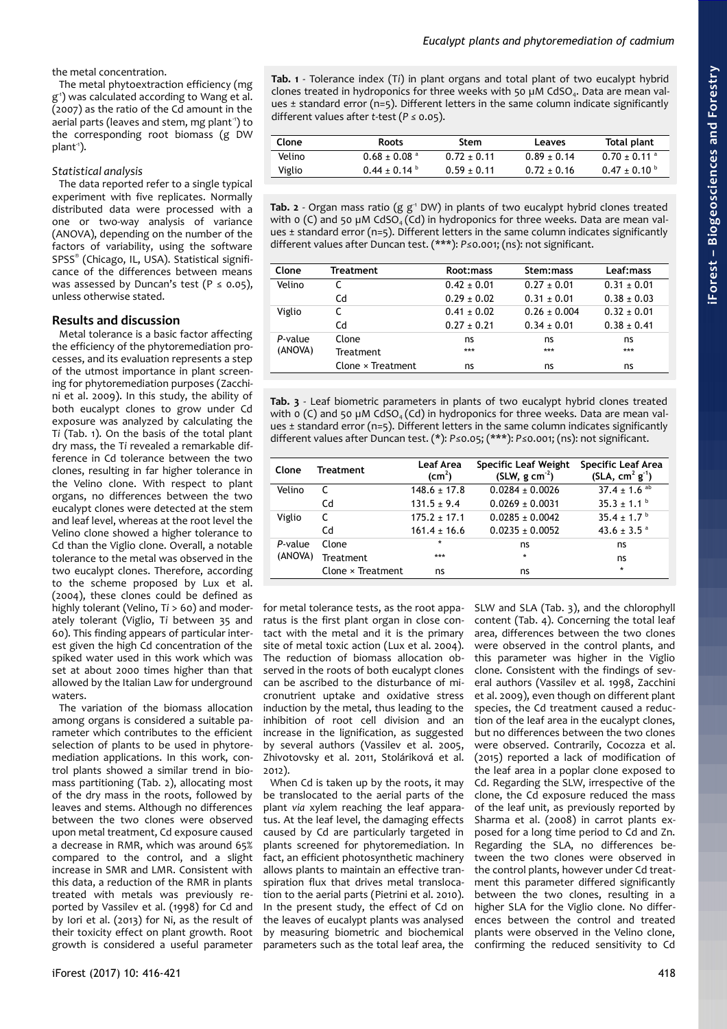the metal concentration.

The metal phytoextraction efficiency (mg g -1) was calculated according to Wang et al. (2007) as the ratio of the Cd amount in the aerial parts (leaves and stem, mg plant-1) to the corresponding root biomass (g DW plant-1).

# *Statistical analysis*

The data reported refer to a single typical experiment with five replicates. Normally distributed data were processed with a one or two-way analysis of variance (ANOVA), depending on the number of the factors of variability, using the software SPSS® (Chicago, IL, USA). Statistical significance of the differences between means was assessed by Duncan's test ( $P \le 0.05$ ), unless otherwise stated.

# **Results and discussion**

Metal tolerance is a basic factor affecting the efficiency of the phytoremediation processes, and its evaluation represents a step of the utmost importance in plant screening for phytoremediation purposes (Zacchini et al. 2009). In this study, the ability of both eucalypt clones to grow under Cd exposure was analyzed by calculating the T*i* [\(Tab. 1\)](#page-2-0). On the basis of the total plant dry mass, the T*i* revealed a remarkable difference in Cd tolerance between the two clones, resulting in far higher tolerance in the Velino clone. With respect to plant organs, no differences between the two eucalypt clones were detected at the stem and leaf level, whereas at the root level the Velino clone showed a higher tolerance to Cd than the Viglio clone. Overall, a notable tolerance to the metal was observed in the two eucalypt clones. Therefore, according to the scheme proposed by Lux et al. (2004), these clones could be defined as highly tolerant (Velino, T*i* > 60) and moderately tolerant (Viglio, T*i* between 35 and 60). This finding appears of particular interest given the high Cd concentration of the spiked water used in this work which was set at about 2000 times higher than that allowed by the Italian Law for underground waters.

The variation of the biomass allocation among organs is considered a suitable parameter which contributes to the efficient selection of plants to be used in phytoremediation applications. In this work, control plants showed a similar trend in biomass partitioning [\(Tab. 2\)](#page-2-2), allocating most of the dry mass in the roots, followed by leaves and stems. Although no differences between the two clones were observed upon metal treatment, Cd exposure caused a decrease in RMR, which was around 65% compared to the control, and a slight increase in SMR and LMR. Consistent with this data, a reduction of the RMR in plants treated with metals was previously reported by Vassilev et al. (1998) for Cd and by Iori et al. (2013) for Ni, as the result of their toxicity effect on plant growth. Root growth is considered a useful parameter <span id="page-2-0"></span>**Tab. 1** - Tolerance index (T*i*) in plant organs and total plant of two eucalypt hybrid clones treated in hydroponics for three weeks with 50 µM CdSO4. Data are mean values ± standard error (n=5). Different letters in the same column indicate significantly different values after *t*-test (*P ≤* 0.05).

*Eucalypt plants and phytoremediation of cadmium*

| Clone  | <b>Roots</b>                 | Stem            | Leaves        | Total plant                  |
|--------|------------------------------|-----------------|---------------|------------------------------|
| Velino | $0.68 \pm 0.08$ <sup>a</sup> | $0.72 \pm 0.11$ | $0.89 + 0.14$ | $0.70 \pm 0.11$ <sup>a</sup> |
| Viglio | $0.44 \pm 0.14$              | $0.59 + 0.11$   | $0.72 + 0.16$ | $0.47 \pm 0.10^{\circ}$      |
|        |                              |                 |               |                              |

<span id="page-2-2"></span>Tab. 2 - Organ mass ratio (g g<sup>-1</sup> DW) in plants of two eucalypt hybrid clones treated with  $o$  (C) and 50 µM CdSO<sub>4</sub> (Cd) in hydroponics for three weeks. Data are mean values ± standard error (n=5). Different letters in the same column indicates significantly different values after Duncan test. (\*\*\*): *P≤*0.001; (ns): not significant.

| Clone   | Treatment         | Root:mass       | Stem: mass       | Leaf:mass       |
|---------|-------------------|-----------------|------------------|-----------------|
| Velino  |                   | $0.42 \pm 0.01$ | $0.27 \pm 0.01$  | $0.31 \pm 0.01$ |
|         | Cd                | $0.29 \pm 0.02$ | $0.31 \pm 0.01$  | $0.38 \pm 0.03$ |
| Viglio  |                   | $0.41 \pm 0.02$ | $0.26 \pm 0.004$ | $0.32 \pm 0.01$ |
|         | Cd                | $0.27 \pm 0.21$ | $0.34 \pm 0.01$  | $0.38 \pm 0.41$ |
| P-value | Clone             | ns              | ns               | ns              |
| (ANOVA) | Treatment         | ***             | ***              | ***             |
|         | Clone × Treatment | ns              | ns               | ns              |

<span id="page-2-1"></span>**Tab. 3** - Leaf biometric parameters in plants of two eucalypt hybrid clones treated with  $\alpha$  (C) and 50 µM CdSO<sub>4</sub> (Cd) in hydroponics for three weeks. Data are mean values ± standard error (n=5). Different letters in the same column indicates significantly different values after Duncan test. (\*): *P≤*0.05; (\*\*\*): *P≤*0.001; (ns): not significant.

| Clone   | Treatment                | <b>Leaf Area</b><br>(cm <sup>2</sup> ) | <b>Specific Leaf Weight</b><br>$(SLW, g cm-2)$ | <b>Specific Leaf Area</b><br>$(SLA, cm2 g-1)$ |
|---------|--------------------------|----------------------------------------|------------------------------------------------|-----------------------------------------------|
| Velino  | C                        | $148.6 \pm 17.8$                       | $0.0284 + 0.0026$                              | $37.4 \pm 1.6$ <sup>ab</sup>                  |
|         | Cd                       | $131.5 \pm 9.4$                        | $0.0269 + 0.0031$                              | $35.3 \pm 1.1^{\circ}$                        |
| Viglio  | C                        | $175.2 \pm 17.1$                       | $0.0285 + 0.0042$                              | $35.4 \pm 1.7$ <sup>b</sup>                   |
|         | Cd                       | $161.4 \pm 16.6$                       | $0.0235 \pm 0.0052$                            | 43.6 $\pm$ 3.5 $^{\circ}$                     |
| P-value | Clone                    | $\star$                                | ns                                             | ns                                            |
| (ANOVA) | <b>Treatment</b>         | ***                                    | $\star$                                        | ns                                            |
|         | Clone $\times$ Treatment | ns                                     | ns                                             | $\star$                                       |

for metal tolerance tests, as the root apparatus is the first plant organ in close contact with the metal and it is the primary site of metal toxic action (Lux et al. 2004). The reduction of biomass allocation observed in the roots of both eucalypt clones can be ascribed to the disturbance of micronutrient uptake and oxidative stress induction by the metal, thus leading to the inhibition of root cell division and an increase in the lignification, as suggested by several authors (Vassilev et al. 2005, Zhivotovsky et al. 2011, Stoláriková et al. 2012).

When Cd is taken up by the roots, it may be translocated to the aerial parts of the plant *via* xylem reaching the leaf apparatus. At the leaf level, the damaging effects caused by Cd are particularly targeted in plants screened for phytoremediation. In fact, an efficient photosynthetic machinery allows plants to maintain an effective transpiration flux that drives metal translocation to the aerial parts (Pietrini et al. 2010). In the present study, the effect of Cd on the leaves of eucalypt plants was analysed by measuring biometric and biochemical parameters such as the total leaf area, the

SLW and SLA [\(Tab. 3\)](#page-2-1), and the chlorophyll content [\(Tab. 4\)](#page-3-0). Concerning the total leaf area, differences between the two clones were observed in the control plants, and this parameter was higher in the Viglio clone. Consistent with the findings of several authors (Vassilev et al. 1998, Zacchini et al. 2009), even though on different plant species, the Cd treatment caused a reduction of the leaf area in the eucalypt clones, but no differences between the two clones were observed. Contrarily, Cocozza et al. (2015) reported a lack of modification of the leaf area in a poplar clone exposed to Cd. Regarding the SLW, irrespective of the clone, the Cd exposure reduced the mass of the leaf unit, as previously reported by Sharma et al. (2008) in carrot plants exposed for a long time period to Cd and Zn. Regarding the SLA, no differences between the two clones were observed in the control plants, however under Cd treatment this parameter differed significantly between the two clones, resulting in a higher SLA for the Viglio clone. No differences between the control and treated plants were observed in the Velino clone, confirming the reduced sensitivity to Cd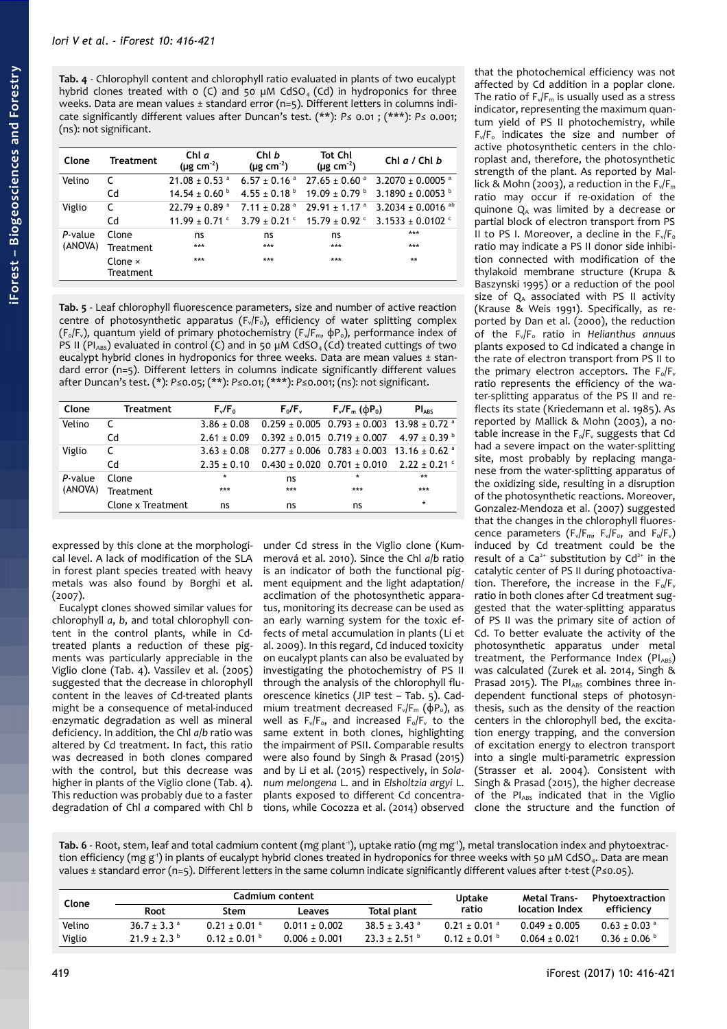<span id="page-3-0"></span>**Tab. 4** - Chlorophyll content and chlorophyll ratio evaluated in plants of two eucalypt hybrid clones treated with  $o$  (C) and 50 µM CdSO<sub>4</sub> (Cd) in hydroponics for three weeks. Data are mean values ± standard error (n=5). Different letters in columns indicate significantly different values after Duncan's test. (\*\*): *P≤* 0.01 ; (\*\*\*): *P≤* 0.001; (ns): not significant.

| Clone   | <b>Treatment</b>            | Chl a<br>( $\mu$ g cm <sup>-2</sup> ) | Chl b<br>( $\mu$ g cm <sup>-2</sup> ) | <b>Tot Chl</b><br>( $\mu$ g cm <sup>-2</sup> ) | Chl $a/$ Chl $b$                                           |
|---------|-----------------------------|---------------------------------------|---------------------------------------|------------------------------------------------|------------------------------------------------------------|
| Velino  | C                           | $21.08 \pm 0.53$ <sup>a</sup>         | $6.57 \pm 0.16$ <sup>a</sup>          | $27.65 \pm 0.60$ <sup>a</sup>                  | $3.2070 \pm 0.0005$ <sup>a</sup>                           |
|         | Cd                          | $14.54 \pm 0.60$ <sup>b</sup>         | $4.55 \pm 0.18^{\circ}$               | $19.09 \pm 0.79$ <sup>b</sup>                  | $3.1890 + 0.0053$                                          |
| Viglio  | C                           | $22.79 \pm 0.89$ <sup>a</sup>         | $7.11 \pm 0.28$ <sup>a</sup>          | $29.91 \pm 1.17$ <sup>a</sup>                  | 3.2034 ± 0.0016 ab                                         |
|         | Cd                          | $11.99 \pm 0.71$ c                    |                                       |                                                | $3.79 \pm 0.21$ ° $15.79 \pm 0.92$ ° $3.1533 \pm 0.0102$ ° |
| P-value | Clone                       | ns                                    | ns                                    | ns                                             | ***                                                        |
| (ANOVA) | Treatment                   | ***                                   | ***                                   | ***                                            | ***                                                        |
|         | Clone $\times$<br>Treatment | ***                                   | ***                                   | ***                                            | $**$                                                       |

<span id="page-3-1"></span>**Tab. 5** - Leaf chlorophyll fluorescence parameters, size and number of active reaction centre of photosynthetic apparatus  $(F_v/F_o)$ , efficiency of water splitting complex (F<sub>o</sub>/F<sub>v</sub>), quantum yield of primary photochemistry (F<sub>v</sub>/F<sub>m</sub>, φP<sub>o</sub>), performance index of PS II ( $PI_{ABS}$ ) evaluated in control (C) and in 50 µM CdSO<sub>4</sub> (Cd) treated cuttings of two eucalypt hybrid clones in hydroponics for three weeks. Data are mean values ± standard error (n=5). Different letters in columns indicate significantly different values after Duncan's test. (\*): *P≤*0.05; (\*\*): *P≤*0.01; (\*\*\*): *P≤*0.001; (ns): not significant.

| Clone   | Treatment         | $F_v/F_0$       | $F_0/F_v$                                                                         | $F_v/F_m$ ( $\phi P_0$ ) | PI <sub>ABS</sub> |
|---------|-------------------|-----------------|-----------------------------------------------------------------------------------|--------------------------|-------------------|
| Velino  |                   |                 | $3.86 \pm 0.08$ 0.259 $\pm$ 0.005 0.793 $\pm$ 0.003 13.98 $\pm$ 0.72 <sup>a</sup> |                          |                   |
|         | Cd                |                 | $2.61 \pm 0.09$ 0.392 $\pm$ 0.015 0.719 $\pm$ 0.007 4.97 $\pm$ 0.39 <sup>b</sup>  |                          |                   |
| Viglio  |                   | $3.63 \pm 0.08$ | $0.277 \pm 0.006$ $0.783 \pm 0.003$ $13.16 \pm 0.62$ <sup>a</sup>                 |                          |                   |
|         | Cd                | $2.35 + 0.10$   | $0.430 \pm 0.020$ $0.701 \pm 0.010$ $2.22 \pm 0.21$ $^{\circ}$                    |                          |                   |
| P-value | Clone             | $\star$         | ns                                                                                | $\star$                  | $**$              |
| (ANOVA) | <b>Treatment</b>  | ***             | ***                                                                               | ***                      | ***               |
|         | Clone x Treatment | ns              | ns                                                                                | ns                       | $\star$           |

expressed by this clone at the morphological level. A lack of modification of the SLA in forest plant species treated with heavy metals was also found by Borghi et al. (2007).

Eucalypt clones showed similar values for chlorophyll *a*, *b*, and total chlorophyll content in the control plants, while in Cdtreated plants a reduction of these pigments was particularly appreciable in the Viglio clone [\(Tab. 4\)](#page-3-0). Vassilev et al. (2005) suggested that the decrease in chlorophyll content in the leaves of Cd-treated plants might be a consequence of metal-induced enzymatic degradation as well as mineral deficiency. In addition, the Chl *a*/*b* ratio was altered by Cd treatment. In fact, this ratio was decreased in both clones compared with the control, but this decrease was higher in plants of the Viglio clone [\(Tab. 4\)](#page-3-0). This reduction was probably due to a faster degradation of Chl *a* compared with Chl *b* under Cd stress in the Viglio clone (Kummerová et al. 2010). Since the Chl *a*/*b* ratio is an indicator of both the functional pigment equipment and the light adaptation/ acclimation of the photosynthetic apparatus, monitoring its decrease can be used as an early warning system for the toxic effects of metal accumulation in plants (Li et al. 2009). In this regard, Cd induced toxicity on eucalypt plants can also be evaluated by investigating the photochemistry of PS II through the analysis of the chlorophyll fluorescence kinetics (JIP test – [Tab. 5\)](#page-3-1). Cadmium treatment decreased  $F_v/F_m$  ( $\phi P_o$ ), as well as  $F_v/F_o$ , and increased  $F_o/F_v$  to the same extent in both clones, highlighting the impairment of PSII. Comparable results were also found by Singh & Prasad (2015) and by Li et al. (2015) respectively, in *Solanum melongena* L. and in *Elsholtzia argyi* L. plants exposed to different Cd concentrations, while Cocozza et al. (2014) observed

that the photochemical efficiency was not affected by Cd addition in a poplar clone. The ratio of  $F_v/F_m$  is usually used as a stress indicator, representing the maximum quantum yield of PS II photochemistry, while  $F_v/F_o$  indicates the size and number of active photosynthetic centers in the chloroplast and, therefore, the photosynthetic strength of the plant. As reported by Mallick & Mohn (2003), a reduction in the  $F_v/F_m$ ratio may occur if re-oxidation of the quinone  $Q_A$  was limited by a decrease or partial block of electron transport from PS II to PS I. Moreover, a decline in the  $F_v/F_o$ ratio may indicate a PS II donor side inhibition connected with modification of the thylakoid membrane structure (Krupa & Baszynski 1995) or a reduction of the pool size of  $Q_A$  associated with PS II activity (Krause & Weis 1991). Specifically, as reported by Dan et al. (2000), the reduction of the Fv/F0 ratio in *Helianthus annuus* plants exposed to Cd indicated a change in the rate of electron transport from PS II to the primary electron acceptors. The  $F_{\text{o}}/F_{\text{v}}$ ratio represents the efficiency of the water-splitting apparatus of the PS II and reflects its state (Kriedemann et al. 1985). As reported by Mallick & Mohn (2003), a notable increase in the  $F_0/F_v$  suggests that Cd had a severe impact on the water-splitting site, most probably by replacing manganese from the water-splitting apparatus of the oxidizing side, resulting in a disruption of the photosynthetic reactions. Moreover, Gonzalez-Mendoza et al. (2007) suggested that the changes in the chlorophyll fluorescence parameters ( $F_v/F_m$ ,  $F_v/F_o$ , and  $F_o/F_v$ ) induced by Cd treatment could be the result of a  $Ca^{2+}$  substitution by  $Cd^{2+}$  in the catalytic center of PS II during photoactivation. Therefore, the increase in the  $F_0/F_v$ ratio in both clones after Cd treatment suggested that the water-splitting apparatus of PS II was the primary site of action of Cd. To better evaluate the activity of the photosynthetic apparatus under metal treatment, the Performance Index  $(PI_{ABS})$ was calculated (Zurek et al. 2014, Singh & Prasad 2015). The PlABS combines three independent functional steps of photosynthesis, such as the density of the reaction centers in the chlorophyll bed, the excitation energy trapping, and the conversion of excitation energy to electron transport into a single multi-parametric expression (Strasser et al. 2004). Consistent with Singh & Prasad (2015), the higher decrease of the PIABS indicated that in the Viglio clone the structure and the function of

<span id="page-3-2"></span>Tab. 6 - Root, stem, leaf and total cadmium content (mg plant<sup>-1</sup>), uptake ratio (mg mg<sup>-1</sup>), metal translocation index and phytoextraction efficiency (mg g<sup>-1</sup>) in plants of eucalypt hybrid clones treated in hydroponics for three weeks with 50 µM CdSO4. Data are mean values ± standard error (n=5). Different letters in the same column indicate significantly different values after *t*-test (*P≤*0.05).

| Clone  | Cadmium content             |                              |                   | <b>Uptake</b>                | Metal Trans-                 | Phytoextraction   |                              |
|--------|-----------------------------|------------------------------|-------------------|------------------------------|------------------------------|-------------------|------------------------------|
|        | Root                        | Stem                         | Leaves            | Total plant                  | ratio                        | location Index    | efficiency                   |
| Velino | $36.7 \pm 3.3$ <sup>a</sup> | $0.21 \pm 0.01$ <sup>a</sup> | $0.011 \pm 0.002$ | $38.5 \pm 3.43$ <sup>a</sup> | $0.21 \pm 0.01$ <sup>a</sup> | $0.049 \pm 0.005$ | $0.63 \pm 0.03$ <sup>a</sup> |
| Viglio | $21.9 \pm 2.3$              | $0.12 \pm 0.01$ b            | $0.006 \pm 0.001$ | $23.3 + 2.51$ <sup>b</sup>   | $0.12 \pm 0.01$ b            | $0.064 + 0.021$   | $0.36 \pm 0.06$ b            |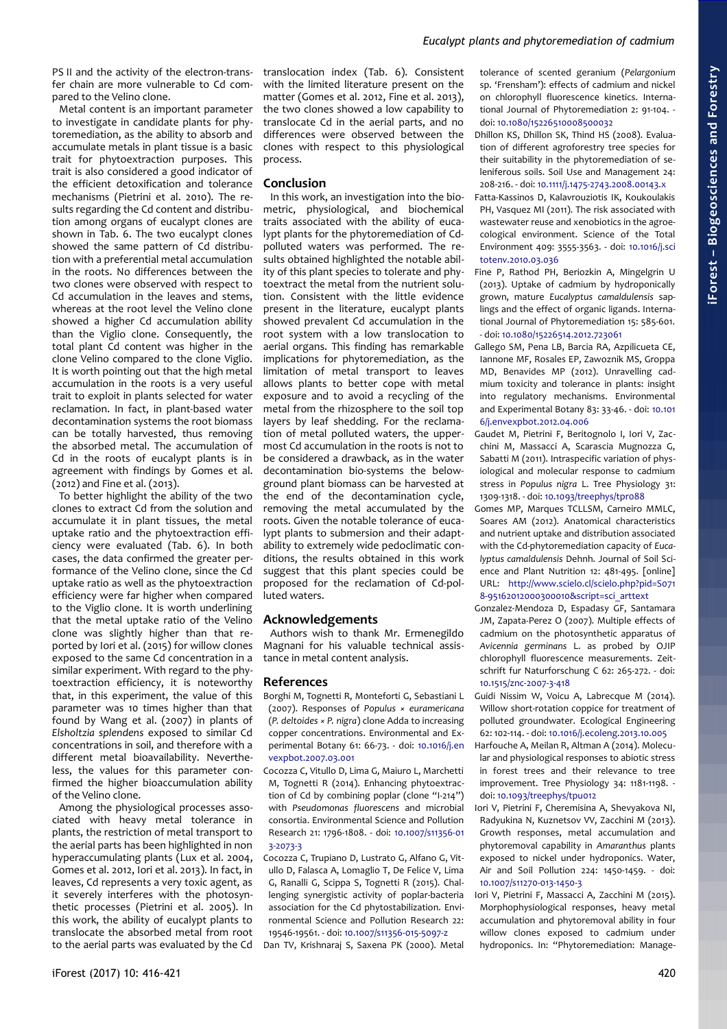PS II and the activity of the electron-transfer chain are more vulnerable to Cd compared to the Velino clone.

Metal content is an important parameter to investigate in candidate plants for phytoremediation, as the ability to absorb and accumulate metals in plant tissue is a basic trait for phytoextraction purposes. This trait is also considered a good indicator of the efficient detoxification and tolerance mechanisms (Pietrini et al. 2010). The results regarding the Cd content and distribution among organs of eucalypt clones are shown in [Tab. 6.](#page-3-2) The two eucalypt clones showed the same pattern of Cd distribution with a preferential metal accumulation in the roots. No differences between the two clones were observed with respect to Cd accumulation in the leaves and stems, whereas at the root level the Velino clone showed a higher Cd accumulation ability than the Viglio clone. Consequently, the total plant Cd content was higher in the clone Velino compared to the clone Viglio. It is worth pointing out that the high metal accumulation in the roots is a very useful trait to exploit in plants selected for water reclamation. In fact, in plant-based water decontamination systems the root biomass can be totally harvested, thus removing the absorbed metal. The accumulation of Cd in the roots of eucalypt plants is in agreement with findings by Gomes et al. (2012) and Fine et al. (2013).

To better highlight the ability of the two clones to extract Cd from the solution and accumulate it in plant tissues, the metal uptake ratio and the phytoextraction efficiency were evaluated [\(Tab. 6\)](#page-3-2). In both cases, the data confirmed the greater performance of the Velino clone, since the Cd uptake ratio as well as the phytoextraction efficiency were far higher when compared to the Viglio clone. It is worth underlining that the metal uptake ratio of the Velino clone was slightly higher than that reported by Iori et al. (2015) for willow clones exposed to the same Cd concentration in a similar experiment. With regard to the phytoextraction efficiency, it is noteworthy that, in this experiment, the value of this parameter was 10 times higher than that found by Wang et al. (2007) in plants of *Elsholtzia splendens* exposed to similar Cd concentrations in soil, and therefore with a different metal bioavailability. Nevertheless, the values for this parameter confirmed the higher bioaccumulation ability of the Velino clone.

Among the physiological processes associated with heavy metal tolerance in plants, the restriction of metal transport to the aerial parts has been highlighted in non hyperaccumulating plants (Lux et al. 2004, Gomes et al. 2012, Iori et al. 2013). In fact, in leaves, Cd represents a very toxic agent, as it severely interferes with the photosynthetic processes (Pietrini et al. 2005). In this work, the ability of eucalypt plants to translocate the absorbed metal from root to the aerial parts was evaluated by the Cd translocation index [\(Tab. 6\)](#page-3-2). Consistent with the limited literature present on the matter (Gomes et al. 2012, Fine et al. 2013), the two clones showed a low capability to translocate Cd in the aerial parts, and no differences were observed between the clones with respect to this physiological process.

# **Conclusion**

In this work, an investigation into the biometric, physiological, and biochemical traits associated with the ability of eucalypt plants for the phytoremediation of Cdpolluted waters was performed. The results obtained highlighted the notable ability of this plant species to tolerate and phytoextract the metal from the nutrient solution. Consistent with the little evidence present in the literature, eucalypt plants showed prevalent Cd accumulation in the root system with a low translocation to aerial organs. This finding has remarkable implications for phytoremediation, as the limitation of metal transport to leaves allows plants to better cope with metal exposure and to avoid a recycling of the metal from the rhizosphere to the soil top layers by leaf shedding. For the reclamation of metal polluted waters, the uppermost Cd accumulation in the roots is not to be considered a drawback, as in the water decontamination bio-systems the belowground plant biomass can be harvested at the end of the decontamination cycle, removing the metal accumulated by the roots. Given the notable tolerance of eucalypt plants to submersion and their adaptability to extremely wide pedoclimatic conditions, the results obtained in this work suggest that this plant species could be proposed for the reclamation of Cd-polluted waters.

## **Acknowledgements**

Authors wish to thank Mr. Ermenegildo Magnani for his valuable technical assistance in metal content analysis.

## **References**

- Borghi M, Tognetti R, Monteforti G, Sebastiani L (2007). Responses of *Populus × euramericana* (*P. deltoides × P. nigra*) clone Adda to increasing copper concentrations. Environmental and Experimental Botany 61: 66-73. - doi: [10.1016/j.en](http://dx.doi.org/10.1016/j.envexpbot.2007.03.001) [vexpbot.2007.03.001](http://dx.doi.org/10.1016/j.envexpbot.2007.03.001)
- Cocozza C, Vitullo D, Lima G, Maiuro L, Marchetti M, Tognetti R (2014). Enhancing phytoextraction of Cd by combining poplar (clone "I-214") with *Pseudomonas fluorescens* and microbial consortia. Environmental Science and Pollution Research 21: 1796-1808. - doi: [10.1007/s11356-01](http://dx.doi.org/10.1007/s11356-013-2073-3) [3-2073-3](http://dx.doi.org/10.1007/s11356-013-2073-3)
- Cocozza C, Trupiano D, Lustrato G, Alfano G, Vitullo D, Falasca A, Lomaglio T, De Felice V, Lima G, Ranalli G, Scippa S, Tognetti R (2015). Challenging synergistic activity of poplar-bacteria association for the Cd phytostabilization. Environmental Science and Pollution Research 22: 19546-19561. - doi: [10.1007/s11356-015-5097-z](http://dx.doi.org/10.1007/s11356-015-5097-z)

Dan TV, Krishnaraj S, Saxena PK (2000). Metal

tolerance of scented geranium (*Pelargonium* sp. 'Frensham'): effects of cadmium and nickel on chlorophyll fluorescence kinetics. International Journal of Phytoremediation 2: 91-104. doi: [10.1080/15226510008500032](http://dx.doi.org/10.1080/15226510008500032)

- Dhillon KS, Dhillon SK, Thind HS (2008). Evaluation of different agroforestry tree species for their suitability in the phytoremediation of seleniferous soils. Soil Use and Management 24: 208-216. - doi: [10.1111/j.1475-2743.2008.00143.x](http://dx.doi.org/10.1111/j.1475-2743.2008.00143.x)
- Fatta-Kassinos D, Kalavrouziotis IK, Koukoulakis PH, Vasquez MI (2011). The risk associated with wastewater reuse and xenobiotics in the agroecological environment. Science of the Total Environment 409: 3555-3563. - doi: [10.1016/j.sci](http://dx.doi.org/10.1016/j.scitotenv.2010.03.036) [totenv.2010.03.036](http://dx.doi.org/10.1016/j.scitotenv.2010.03.036)
- Fine P, Rathod PH, Beriozkin A, Mingelgrin U (2013). Uptake of cadmium by hydroponically grown, mature *Eucalyptus camaldulensis* saplings and the effect of organic ligands. International Journal of Phytoremediation 15: 585-601. - doi: [10.1080/15226514.2012.723061](http://dx.doi.org/10.1080/15226514.2012.723061)
- Gallego SM, Pena LB, Barcia RA, Azpilicueta CE, Iannone MF, Rosales EP, Zawoznik MS, Groppa MD, Benavides MP (2012). Unravelling cadmium toxicity and tolerance in plants: insight into regulatory mechanisms. Environmental and Experimental Botany 83: 33-46. - doi: [10.101](http://dx.doi.org/10.1016/j.envexpbot.2012.04.006) [6/j.envexpbot.2012.04.006](http://dx.doi.org/10.1016/j.envexpbot.2012.04.006)
- Gaudet M, Pietrini F, Beritognolo I, Iori V, Zacchini M, Massacci A, Scarascia Mugnozza G, Sabatti M (2011). Intraspecific variation of physiological and molecular response to cadmium stress in *Populus nigra* L. Tree Physiology 31: 1309-1318. - doi: [10.1093/treephys/tpr088](http://dx.doi.org/10.1093/treephys/tpr088)
- Gomes MP, Marques TCLLSM, Carneiro MMLC, Soares AM (2012). Anatomical characteristics and nutrient uptake and distribution associated with the Cd-phytoremediation capacity of *Eucalyptus camaldulensis* Dehnh. Journal of Soil Science and Plant Nutrition 12: 481-495. [online] URL: [http://www.scielo.cl/scielo.php?pid=S071](http://www.scielo.cl/scielo.php?pid=S0718-95162012000300010&script=sci_arttext&tlng=pt) [8-95162012000300010&script=sci\\_arttext](http://www.scielo.cl/scielo.php?pid=S0718-95162012000300010&script=sci_arttext&tlng=pt)
- Gonzalez-Mendoza D, Espadasy GF, Santamara JM, Zapata-Perez O (2007). Multiple effects of cadmium on the photosynthetic apparatus of *Avicennia germinans* L. as probed by OJIP chlorophyll fluorescence measurements. Zeitschrift fur Naturforschung C 62: 265-272. - doi: [10.1515/znc-2007-3-418](http://dx.doi.org/10.1515/znc-2007-3-418)
- Guidi Nissim W, Voicu A, Labrecque M (2014). Willow short-rotation coppice for treatment of polluted groundwater. Ecological Engineering 62: 102-114. - doi: [10.1016/j.ecoleng.2013.10.005](http://dx.doi.org/10.1016/j.ecoleng.2013.10.005)
- Harfouche A, Meilan R, Altman A (2014). Molecular and physiological responses to abiotic stress in forest trees and their relevance to tree improvement. Tree Physiology 34: 1181-1198. doi: [10.1093/treephys/tpu012](http://dx.doi.org/10.1093/treephys/tpu012)
- Iori V, Pietrini F, Cheremisina A, Shevyakova NI, Radyukina N, Kuznetsov VV, Zacchini M (2013). Growth responses, metal accumulation and phytoremoval capability in *Amaranthus* plants exposed to nickel under hydroponics. Water, Air and Soil Pollution 224: 1450-1459. - doi: [10.1007/s11270-013-1450-3](http://dx.doi.org/10.1007/s11270-013-1450-3)
- Iori V, Pietrini F, Massacci A, Zacchini M (2015). Morphophysiological responses, heavy metal accumulation and phytoremoval ability in four willow clones exposed to cadmium under hydroponics. In: "Phytoremediation: Manage-